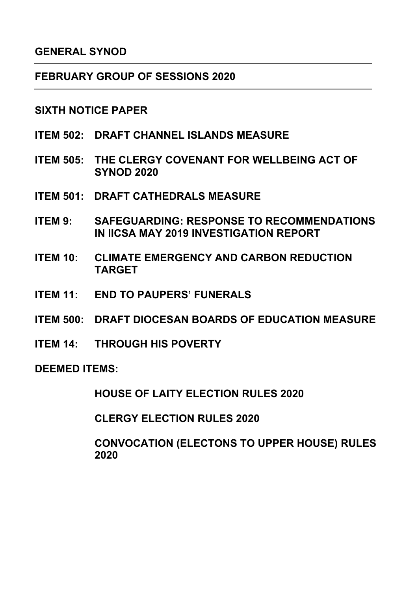### **GENERAL SYNOD**

#### **FEBRUARY GROUP OF SESSIONS 2020**

#### **SIXTH NOTICE PAPER**

- **ITEM 502: DRAFT CHANNEL ISLANDS MEASURE**
- **ITEM 505: THE CLERGY COVENANT FOR WELLBEING ACT OF SYNOD 2020**
- **ITEM 501: DRAFT CATHEDRALS MEASURE**
- **ITEM 9: SAFEGUARDING: RESPONSE TO RECOMMENDATIONS IN IICSA MAY 2019 INVESTIGATION REPORT**
- **ITEM 10: CLIMATE EMERGENCY AND CARBON REDUCTION TARGET**
- **ITEM 11: END TO PAUPERS' FUNERALS**
- **ITEM 500: DRAFT DIOCESAN BOARDS OF EDUCATION MEASURE**
- **ITEM 14: THROUGH HIS POVERTY**

**DEEMED ITEMS:** 

**HOUSE OF LAITY ELECTION RULES 2020**

**CLERGY ELECTION RULES 2020**

**CONVOCATION (ELECTONS TO UPPER HOUSE) RULES 2020**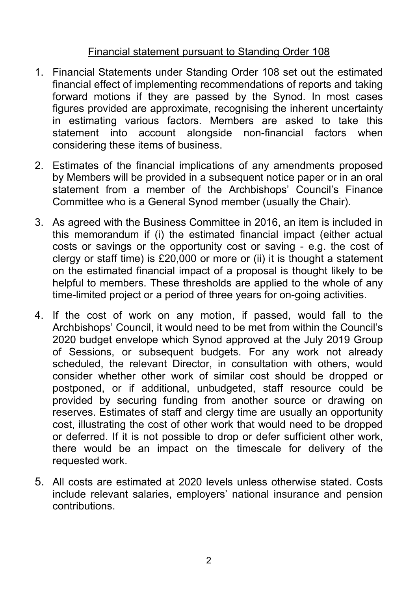# Financial statement pursuant to Standing Order 108

- 1. Financial Statements under Standing Order 108 set out the estimated financial effect of implementing recommendations of reports and taking forward motions if they are passed by the Synod. In most cases figures provided are approximate, recognising the inherent uncertainty in estimating various factors. Members are asked to take this statement into account alongside non-financial factors when considering these items of business.
- 2. Estimates of the financial implications of any amendments proposed by Members will be provided in a subsequent notice paper or in an oral statement from a member of the Archbishops' Council's Finance Committee who is a General Synod member (usually the Chair).
- 3. As agreed with the Business Committee in 2016, an item is included in this memorandum if (i) the estimated financial impact (either actual costs or savings or the opportunity cost or saving - e.g. the cost of clergy or staff time) is £20,000 or more or (ii) it is thought a statement on the estimated financial impact of a proposal is thought likely to be helpful to members. These thresholds are applied to the whole of any time-limited project or a period of three years for on-going activities.
- 4. If the cost of work on any motion, if passed, would fall to the Archbishops' Council, it would need to be met from within the Council's 2020 budget envelope which Synod approved at the July 2019 Group of Sessions, or subsequent budgets. For any work not already scheduled, the relevant Director, in consultation with others, would consider whether other work of similar cost should be dropped or postponed, or if additional, unbudgeted, staff resource could be provided by securing funding from another source or drawing on reserves. Estimates of staff and clergy time are usually an opportunity cost, illustrating the cost of other work that would need to be dropped or deferred. If it is not possible to drop or defer sufficient other work, there would be an impact on the timescale for delivery of the requested work.
- 5. All costs are estimated at 2020 levels unless otherwise stated. Costs include relevant salaries, employers' national insurance and pension contributions.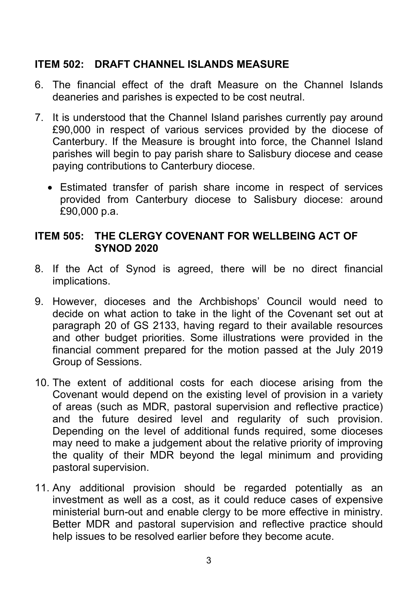# **ITEM 502: DRAFT CHANNEL ISLANDS MEASURE**

- 6. The financial effect of the draft Measure on the Channel Islands deaneries and parishes is expected to be cost neutral.
- 7. It is understood that the Channel Island parishes currently pay around £90,000 in respect of various services provided by the diocese of Canterbury. If the Measure is brought into force, the Channel Island parishes will begin to pay parish share to Salisbury diocese and cease paying contributions to Canterbury diocese.
	- Estimated transfer of parish share income in respect of services provided from Canterbury diocese to Salisbury diocese: around £90,000 p.a.

## **ITEM 505: THE CLERGY COVENANT FOR WELLBEING ACT OF SYNOD 2020**

- 8. If the Act of Synod is agreed, there will be no direct financial implications.
- 9. However, dioceses and the Archbishops' Council would need to decide on what action to take in the light of the Covenant set out at paragraph 20 of GS 2133, having regard to their available resources and other budget priorities. Some illustrations were provided in the financial comment prepared for the motion passed at the July 2019 Group of Sessions.
- 10. The extent of additional costs for each diocese arising from the Covenant would depend on the existing level of provision in a variety of areas (such as MDR, pastoral supervision and reflective practice) and the future desired level and regularity of such provision. Depending on the level of additional funds required, some dioceses may need to make a judgement about the relative priority of improving the quality of their MDR beyond the legal minimum and providing pastoral supervision.
- 11. Any additional provision should be regarded potentially as an investment as well as a cost, as it could reduce cases of expensive ministerial burn-out and enable clergy to be more effective in ministry. Better MDR and pastoral supervision and reflective practice should help issues to be resolved earlier before they become acute.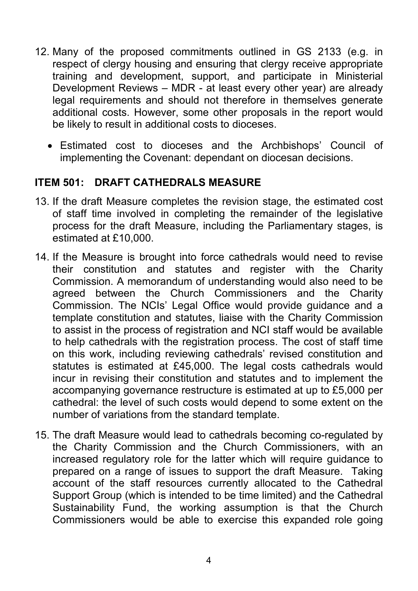- 12. Many of the proposed commitments outlined in GS 2133 (e.g. in respect of clergy housing and ensuring that clergy receive appropriate training and development, support, and participate in Ministerial Development Reviews – MDR - at least every other year) are already legal requirements and should not therefore in themselves generate additional costs. However, some other proposals in the report would be likely to result in additional costs to dioceses.
	- Estimated cost to dioceses and the Archbishops' Council of implementing the Covenant: dependant on diocesan decisions.

### **ITEM 501: DRAFT CATHEDRALS MEASURE**

- 13. If the draft Measure completes the revision stage, the estimated cost of staff time involved in completing the remainder of the legislative process for the draft Measure, including the Parliamentary stages, is estimated at £10,000.
- 14. If the Measure is brought into force cathedrals would need to revise their constitution and statutes and register with the Charity Commission. A memorandum of understanding would also need to be agreed between the Church Commissioners and the Charity Commission. The NCIs' Legal Office would provide guidance and a template constitution and statutes, liaise with the Charity Commission to assist in the process of registration and NCI staff would be available to help cathedrals with the registration process. The cost of staff time on this work, including reviewing cathedrals' revised constitution and statutes is estimated at £45,000. The legal costs cathedrals would incur in revising their constitution and statutes and to implement the accompanying governance restructure is estimated at up to £5,000 per cathedral: the level of such costs would depend to some extent on the number of variations from the standard template.
- 15. The draft Measure would lead to cathedrals becoming co-regulated by the Charity Commission and the Church Commissioners, with an increased regulatory role for the latter which will require guidance to prepared on a range of issues to support the draft Measure. Taking account of the staff resources currently allocated to the Cathedral Support Group (which is intended to be time limited) and the Cathedral Sustainability Fund, the working assumption is that the Church Commissioners would be able to exercise this expanded role going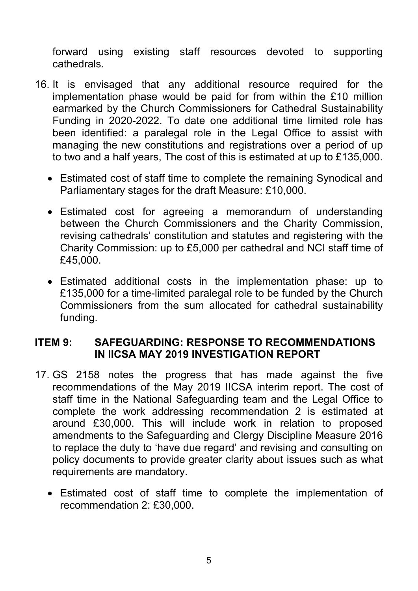forward using existing staff resources devoted to supporting cathedrals.

- 16. It is envisaged that any additional resource required for the implementation phase would be paid for from within the £10 million earmarked by the Church Commissioners for Cathedral Sustainability Funding in 2020-2022. To date one additional time limited role has been identified: a paralegal role in the Legal Office to assist with managing the new constitutions and registrations over a period of up to two and a half years, The cost of this is estimated at up to £135,000.
	- Estimated cost of staff time to complete the remaining Synodical and Parliamentary stages for the draft Measure: £10,000.
	- Estimated cost for agreeing a memorandum of understanding between the Church Commissioners and the Charity Commission, revising cathedrals' constitution and statutes and registering with the Charity Commission: up to £5,000 per cathedral and NCI staff time of £45,000.
	- Estimated additional costs in the implementation phase: up to £135,000 for a time-limited paralegal role to be funded by the Church Commissioners from the sum allocated for cathedral sustainability funding.

### **ITEM 9: SAFEGUARDING: RESPONSE TO RECOMMENDATIONS IN IICSA MAY 2019 INVESTIGATION REPORT**

- 17. GS 2158 notes the progress that has made against the five recommendations of the May 2019 IICSA interim report. The cost of staff time in the National Safeguarding team and the Legal Office to complete the work addressing recommendation 2 is estimated at around £30,000. This will include work in relation to proposed amendments to the Safeguarding and Clergy Discipline Measure 2016 to replace the duty to 'have due regard' and revising and consulting on policy documents to provide greater clarity about issues such as what requirements are mandatory.
	- Estimated cost of staff time to complete the implementation of recommendation 2: £30,000.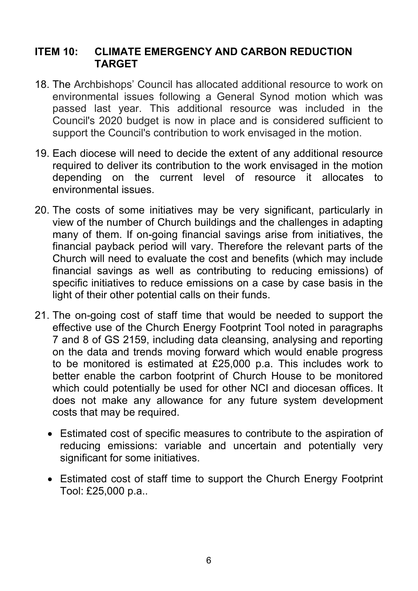### **ITEM 10: CLIMATE EMERGENCY AND CARBON REDUCTION TARGET**

- 18. The Archbishops' Council has allocated additional resource to work on environmental issues following a General Synod motion which was passed last year. This additional resource was included in the Council's 2020 budget is now in place and is considered sufficient to support the Council's contribution to work envisaged in the motion.
- 19. Each diocese will need to decide the extent of any additional resource required to deliver its contribution to the work envisaged in the motion depending on the current level of resource it allocates to environmental issues.
- 20. The costs of some initiatives may be very significant, particularly in view of the number of Church buildings and the challenges in adapting many of them. If on-going financial savings arise from initiatives, the financial payback period will vary. Therefore the relevant parts of the Church will need to evaluate the cost and benefits (which may include financial savings as well as contributing to reducing emissions) of specific initiatives to reduce emissions on a case by case basis in the light of their other potential calls on their funds.
- 21. The on-going cost of staff time that would be needed to support the effective use of the Church Energy Footprint Tool noted in paragraphs 7 and 8 of GS 2159, including data cleansing, analysing and reporting on the data and trends moving forward which would enable progress to be monitored is estimated at £25,000 p.a. This includes work to better enable the carbon footprint of Church House to be monitored which could potentially be used for other NCI and diocesan offices. It does not make any allowance for any future system development costs that may be required.
	- Estimated cost of specific measures to contribute to the aspiration of reducing emissions: variable and uncertain and potentially very significant for some initiatives.
	- Estimated cost of staff time to support the Church Energy Footprint Tool: £25,000 p.a..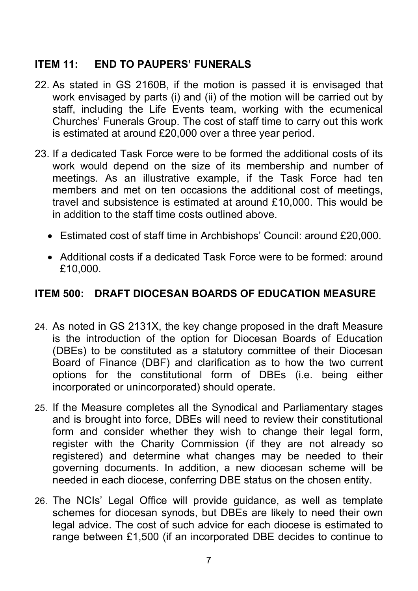# **ITEM 11: END TO PAUPERS' FUNERALS**

- 22. As stated in GS 2160B, if the motion is passed it is envisaged that work envisaged by parts (i) and (ii) of the motion will be carried out by staff, including the Life Events team, working with the ecumenical Churches' Funerals Group. The cost of staff time to carry out this work is estimated at around £20,000 over a three year period.
- 23. If a dedicated Task Force were to be formed the additional costs of its work would depend on the size of its membership and number of meetings. As an illustrative example, if the Task Force had ten members and met on ten occasions the additional cost of meetings, travel and subsistence is estimated at around £10,000. This would be in addition to the staff time costs outlined above.
	- Estimated cost of staff time in Archbishops' Council: around £20,000.
	- Additional costs if a dedicated Task Force were to be formed: around £10,000.

### **ITEM 500: DRAFT DIOCESAN BOARDS OF EDUCATION MEASURE**

- 24. As noted in GS 2131X, the key change proposed in the draft Measure is the introduction of the option for Diocesan Boards of Education (DBEs) to be constituted as a statutory committee of their Diocesan Board of Finance (DBF) and clarification as to how the two current options for the constitutional form of DBEs (i.e. being either incorporated or unincorporated) should operate.
- 25. If the Measure completes all the Synodical and Parliamentary stages and is brought into force, DBEs will need to review their constitutional form and consider whether they wish to change their legal form, register with the Charity Commission (if they are not already so registered) and determine what changes may be needed to their governing documents. In addition, a new diocesan scheme will be needed in each diocese, conferring DBE status on the chosen entity.
- 26. The NCIs' Legal Office will provide guidance, as well as template schemes for diocesan synods, but DBEs are likely to need their own legal advice. The cost of such advice for each diocese is estimated to range between £1,500 (if an incorporated DBE decides to continue to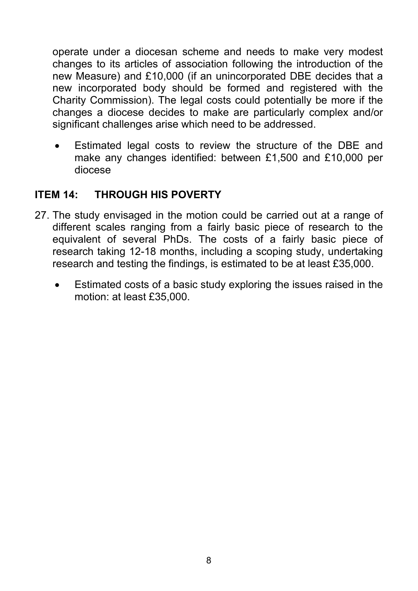operate under a diocesan scheme and needs to make very modest changes to its articles of association following the introduction of the new Measure) and £10,000 (if an unincorporated DBE decides that a new incorporated body should be formed and registered with the Charity Commission). The legal costs could potentially be more if the changes a diocese decides to make are particularly complex and/or significant challenges arise which need to be addressed.

• Estimated legal costs to review the structure of the DBE and make any changes identified: between £1,500 and £10,000 per diocese

## **ITEM 14: THROUGH HIS POVERTY**

- 27. The study envisaged in the motion could be carried out at a range of different scales ranging from a fairly basic piece of research to the equivalent of several PhDs. The costs of a fairly basic piece of research taking 12-18 months, including a scoping study, undertaking research and testing the findings, is estimated to be at least £35,000.
	- Estimated costs of a basic study exploring the issues raised in the motion: at least £35,000.